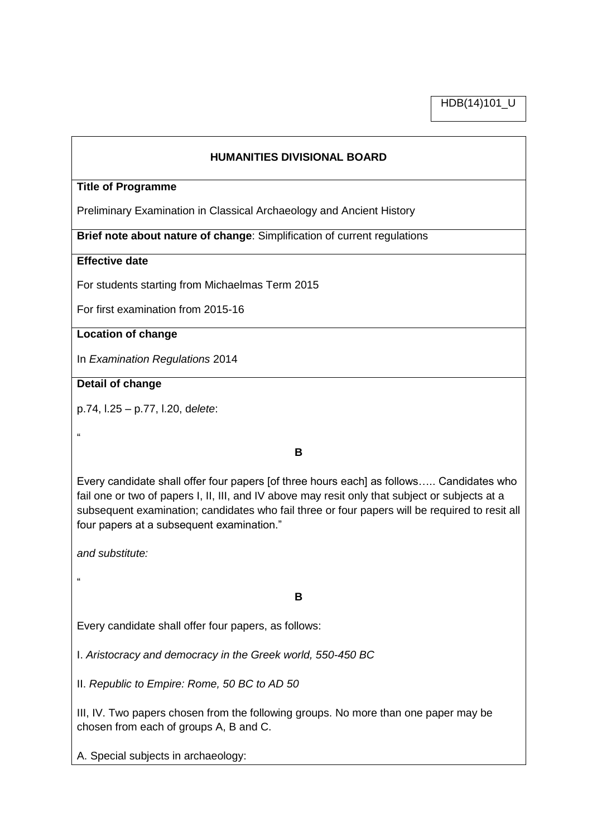HDB(14)101\_U

#### **HUMANITIES DIVISIONAL BOARD**

#### **Title of Programme**

Preliminary Examination in Classical Archaeology and Ancient History

**Brief note about nature of change**: Simplification of current regulations

## **Effective date**

For students starting from Michaelmas Term 2015

For first examination from 2015-16

## **Location of change**

In *Examination Regulations* 2014

#### **Detail of change**

p.74, l.25 – p.77, l.20, d*elete*:

"

**B**

Every candidate shall offer four papers [of three hours each] as follows….. Candidates who fail one or two of papers I, II, III, and IV above may resit only that subject or subjects at a subsequent examination; candidates who fail three or four papers will be required to resit all four papers at a subsequent examination."

*and substitute:*

"

## **B**

Every candidate shall offer four papers, as follows:

I. *Aristocracy and democracy in the Greek world, 550-450 BC*

II. *Republic to Empire: Rome, 50 BC to AD 50* 

III, IV. Two papers chosen from the following groups. No more than one paper may be chosen from each of groups A, B and C.

A. Special subjects in archaeology: